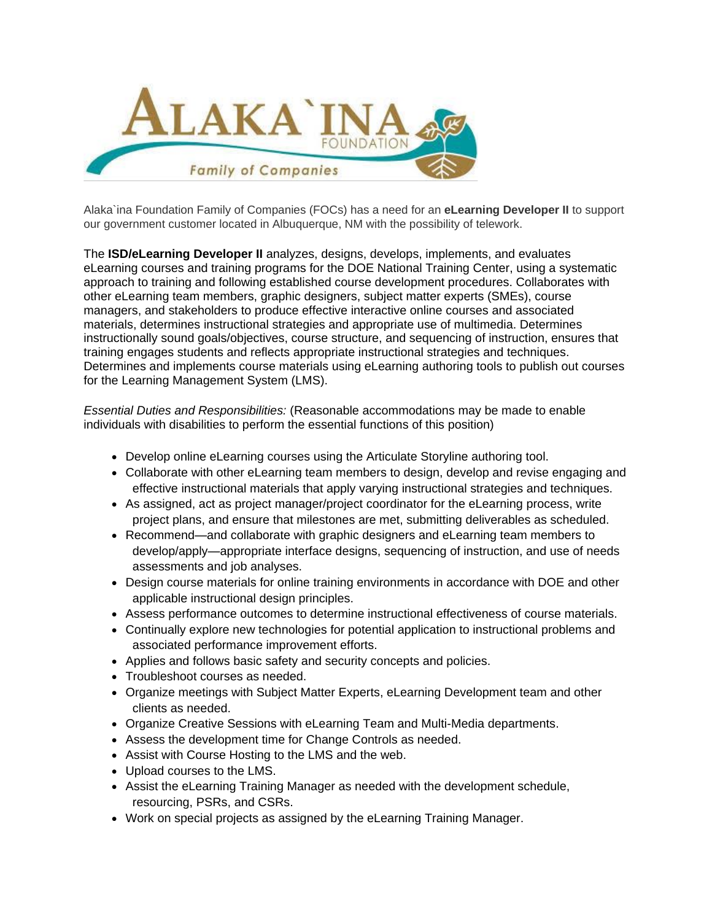

Alaka`ina Foundation Family of Companies (FOCs) has a need for an **eLearning Developer II** to support our government customer located in Albuquerque, NM with the possibility of telework.

The **ISD/eLearning Developer II** analyzes, designs, develops, implements, and evaluates eLearning courses and training programs for the DOE National Training Center, using a systematic approach to training and following established course development procedures. Collaborates with other eLearning team members, graphic designers, subject matter experts (SMEs), course managers, and stakeholders to produce effective interactive online courses and associated materials, determines instructional strategies and appropriate use of multimedia. Determines instructionally sound goals/objectives, course structure, and sequencing of instruction, ensures that training engages students and reflects appropriate instructional strategies and techniques. Determines and implements course materials using eLearning authoring tools to publish out courses for the Learning Management System (LMS).

*Essential Duties and Responsibilities:* (Reasonable accommodations may be made to enable individuals with disabilities to perform the essential functions of this position)

- Develop online eLearning courses using the Articulate Storyline authoring tool.
- Collaborate with other eLearning team members to design, develop and revise engaging and effective instructional materials that apply varying instructional strategies and techniques.
- As assigned, act as project manager/project coordinator for the eLearning process, write project plans, and ensure that milestones are met, submitting deliverables as scheduled.
- Recommend—and collaborate with graphic designers and eLearning team members to develop/apply—appropriate interface designs, sequencing of instruction, and use of needs assessments and job analyses.
- Design course materials for online training environments in accordance with DOE and other applicable instructional design principles.
- Assess performance outcomes to determine instructional effectiveness of course materials.
- Continually explore new technologies for potential application to instructional problems and associated performance improvement efforts.
- Applies and follows basic safety and security concepts and policies.
- Troubleshoot courses as needed.
- Organize meetings with Subject Matter Experts, eLearning Development team and other clients as needed.
- Organize Creative Sessions with eLearning Team and Multi-Media departments.
- Assess the development time for Change Controls as needed.
- Assist with Course Hosting to the LMS and the web.
- Upload courses to the LMS.
- Assist the eLearning Training Manager as needed with the development schedule, resourcing, PSRs, and CSRs.
- Work on special projects as assigned by the eLearning Training Manager.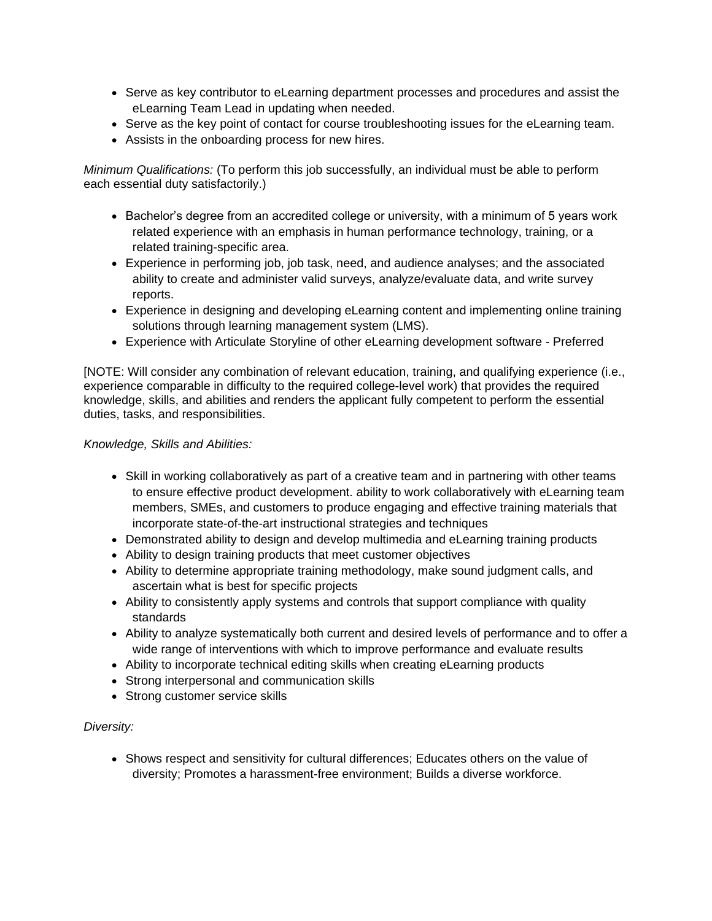- Serve as key contributor to eLearning department processes and procedures and assist the eLearning Team Lead in updating when needed.
- Serve as the key point of contact for course troubleshooting issues for the eLearning team.
- Assists in the onboarding process for new hires.

*Minimum Qualifications:* (To perform this job successfully, an individual must be able to perform each essential duty satisfactorily.)

- Bachelor's degree from an accredited college or university, with a minimum of 5 years work related experience with an emphasis in human performance technology, training, or a related training-specific area.
- Experience in performing job, job task, need, and audience analyses; and the associated ability to create and administer valid surveys, analyze/evaluate data, and write survey reports.
- Experience in designing and developing eLearning content and implementing online training solutions through learning management system (LMS).
- Experience with Articulate Storyline of other eLearning development software Preferred

[NOTE: Will consider any combination of relevant education, training, and qualifying experience (i.e., experience comparable in difficulty to the required college-level work) that provides the required knowledge, skills, and abilities and renders the applicant fully competent to perform the essential duties, tasks, and responsibilities.

## *Knowledge, Skills and Abilities:*

- Skill in working collaboratively as part of a creative team and in partnering with other teams to ensure effective product development. ability to work collaboratively with eLearning team members, SMEs, and customers to produce engaging and effective training materials that incorporate state-of-the-art instructional strategies and techniques
- Demonstrated ability to design and develop multimedia and eLearning training products
- Ability to design training products that meet customer objectives
- Ability to determine appropriate training methodology, make sound judgment calls, and ascertain what is best for specific projects
- Ability to consistently apply systems and controls that support compliance with quality standards
- Ability to analyze systematically both current and desired levels of performance and to offer a wide range of interventions with which to improve performance and evaluate results
- Ability to incorporate technical editing skills when creating eLearning products
- Strong interpersonal and communication skills
- Strong customer service skills

# *Diversity:*

• Shows respect and sensitivity for cultural differences; Educates others on the value of diversity; Promotes a harassment-free environment; Builds a diverse workforce.